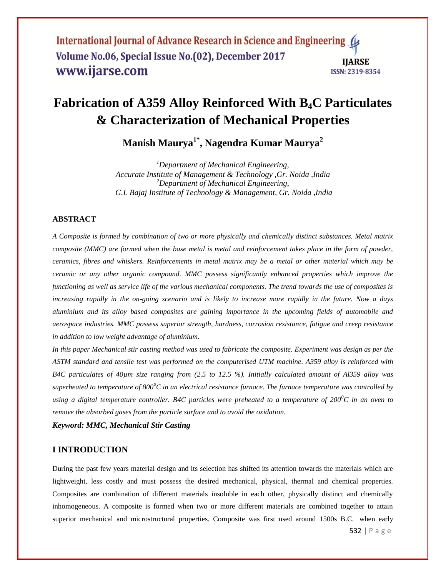International Journal of Advance Research in Science and Engineering ( Volume No.06, Special Issue No.(02), December 2017 **IIARSE** www.ijarse.com ISSN: 2319-8354

# **Fabrication of A359 Alloy Reinforced With B4C Particulates & Characterization of Mechanical Properties**

**Manish Maurya1\* , Nagendra Kumar Maurya<sup>2</sup>**

*<sup>1</sup>Department of Mechanical Engineering, Accurate Institute of Management & Technology ,Gr. Noida ,India <sup>2</sup>Department of Mechanical Engineering, G.L Bajaj Institute of Technology & Management, Gr. Noida ,India*

#### **ABSTRACT**

*A Composite is formed by combination of two or more physically and chemically distinct substances. Metal matrix composite (MMC) are formed when the base metal is metal and reinforcement takes place in the form of powder, ceramics, fibres and whiskers. Reinforcements in metal matrix may be a metal or other material which may be ceramic or any other organic compound. MMC possess significantly enhanced properties which improve the functioning as well as service life of the various mechanical components. The trend towards the use of composites is increasing rapidly in the on-going scenario and is likely to increase more rapidly in the future. Now a days aluminium and its alloy based composites are gaining importance in the upcoming fields of automobile and aerospace industries. MMC possess superior strength, hardness, corrosion resistance, fatigue and creep resistance in addition to low weight advantage of aluminium.* 

*In this paper Mechanical stir casting method was used to fabricate the composite. Experiment was design as per the ASTM standard and tensile test was performed on the computerised UTM machine. A359 alloy is reinforced with B4C particulates of 40µm size ranging from (2.5 to 12.5 %). Initially calculated amount of Al359 alloy was superheated to temperature of 800<sup>0</sup>C in an electrical resistance furnace. The furnace temperature was controlled by using a digital temperature controller. B4C particles were preheated to a temperature of 200<sup>0</sup>C in an oven to remove the absorbed gases from the particle surface and to avoid the oxidation.* 

*Keyword: MMC, Mechanical Stir Casting* 

## **I INTRODUCTION**

During the past few years material design and its selection has shifted its attention towards the materials which are lightweight, less costly and must possess the desired mechanical, physical, thermal and chemical properties. Composites are combination of different materials insoluble in each other, physically distinct and chemically inhomogeneous. A composite is formed when two or more different materials are combined together to attain superior mechanical and microstructural properties. Composite was first used around 1500s B.C. when early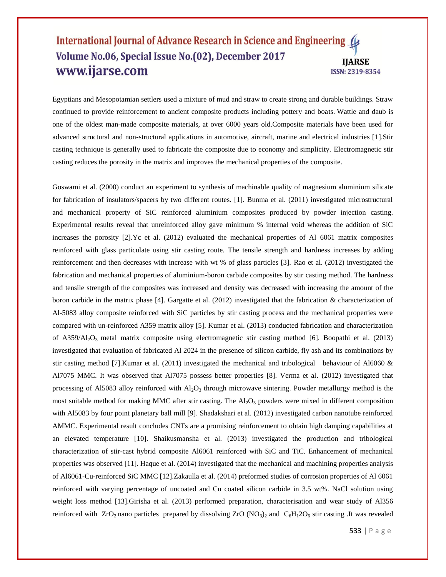#### International Journal of Advance Research in Science and Engineering ( Volume No.06, Special Issue No.(02), December 2017 **IIARSE** www.ijarse.com ISSN: 2319-8354

Egyptians and Mesopotamian settlers used a mixture of mud and straw to create strong and durable buildings. Straw continued to provide reinforcement to ancient composite products including pottery and boats. Wattle and daub is one of the oldest man-made composite materials, at over 6000 years old.Composite materials have been used for advanced structural and non-structural applications in automotive, aircraft, marine and electrical industries [1].Stir casting technique is generally used to fabricate the composite due to economy and simplicity. Electromagnetic stir casting reduces the porosity in the matrix and improves the mechanical properties of the composite.

Goswami et al. (2000) conduct an experiment to synthesis of machinable quality of magnesium aluminium silicate for fabrication of insulators/spacers by two different routes. [1]. Bunma et al. (2011) investigated microstructural and mechanical property of SiC reinforced aluminium composites produced by powder injection casting. Experimental results reveal that unreinforced alloy gave minimum % internal void whereas the addition of SiC increases the porosity [2].Yc et al. (2012) evaluated the mechanical properties of Al 6061 matrix composites reinforced with glass particulate using stir casting route. The tensile strength and hardness increases by adding reinforcement and then decreases with increase with wt % of glass particles [3]. Rao et al. (2012) investigated the fabrication and mechanical properties of aluminium-boron carbide composites by stir casting method. The hardness and tensile strength of the composites was increased and density was decreased with increasing the amount of the boron carbide in the matrix phase [4]. Gargatte et al. (2012) investigated that the fabrication & characterization of Al-5083 alloy composite reinforced with SiC particles by stir casting process and the mechanical properties were compared with un-reinforced A359 matrix alloy [5]. Kumar et al. (2013) conducted fabrication and characterization of A359/Al2O3 metal matrix composite using electromagnetic stir casting method [6]. Boopathi et al. (2013) investigated that evaluation of fabricated Al 2024 in the presence of silicon carbide, fly ash and its combinations by stir casting method [7].Kumar et al. (2011) investigated the mechanical and tribological behaviour of Al6060 & Al7075 MMC. It was observed that Al7075 possess better properties [8]. Verma et al. (2012) investigated that processing of Al5083 alloy reinforced with  $A_2O_3$  through microwave sintering. Powder metallurgy method is the most suitable method for making MMC after stir casting. The  $Al_2O_3$  powders were mixed in different composition with Al5083 by four point planetary ball mill [9]. Shadakshari et al. (2012) investigated carbon nanotube reinforced AMMC. Experimental result concludes CNTs are a promising reinforcement to obtain high damping capabilities at an elevated temperature [10]. Shaikusmansha et al. (2013) investigated the production and tribological characterization of stir-cast hybrid composite Al6061 reinforced with SiC and TiC. Enhancement of mechanical properties was observed [11]. Haque et al. (2014) investigated that the mechanical and machining properties analysis of Al6061-Cu-reinforced SiC MMC [12].Zakaulla et al. (2014) preformed studies of corrosion properties of Al 6061 reinforced with varying percentage of uncoated and Cu coated silicon carbide in 3.5 wt%. NaCl solution using weight loss method [13].Girisha et al. (2013) performed preparation, characterisation and wear study of Al356 reinforced with  $ZrO_2$  nano particles prepared by dissolving  $ZrO (NO_3)$  and  $C_6H_12O_6$  stir casting .It was revealed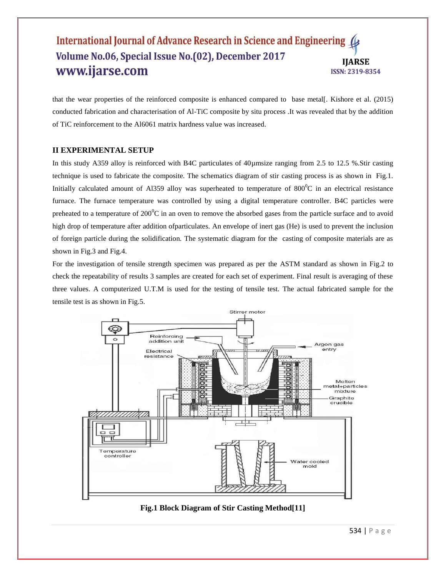#### International Journal of Advance Research in Science and Engineering ( Volume No.06, Special Issue No. (02), December 2017 **IIARSE** www.ijarse.com ISSN: 2319-8354

that the wear properties of the reinforced composite is enhanced compared to base metal[. Kishore et al. (2015) conducted fabrication and characterisation of Al-TiC composite by situ process .It was revealed that by the addition of TiC reinforcement to the Al6061 matrix hardness value was increased.

### **II EXPERIMENTAL SETUP**

In this study A359 alloy is reinforced with B4C particulates of 40µmsize ranging from 2.5 to 12.5 %.Stir casting technique is used to fabricate the composite. The schematics diagram of stir casting process is as shown in Fig.1. Initially calculated amount of Al359 alloy was superheated to temperature of  $800^{\circ}$ C in an electrical resistance furnace. The furnace temperature was controlled by using a digital temperature controller. B4C particles were preheated to a temperature of  $200^{\circ}$ C in an oven to remove the absorbed gases from the particle surface and to avoid high drop of temperature after addition ofparticulates. An envelope of inert gas (He) is used to prevent the inclusion of foreign particle during the solidification. The systematic diagram for the casting of composite materials are as shown in Fig.3 and Fig.4.

For the investigation of tensile strength specimen was prepared as per the ASTM standard as shown in Fig.2 to check the repeatability of results 3 samples are created for each set of experiment. Final result is averaging of these three values. A computerized U.T.M is used for the testing of tensile test. The actual fabricated sample for the tensile test is as shown in Fig.5.



**Fig.1 Block Diagram of Stir Casting Method[11]**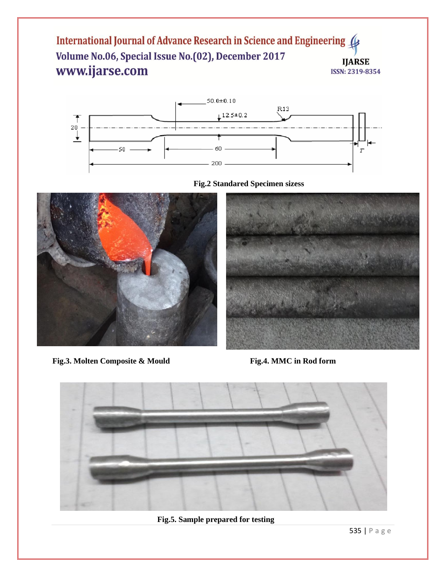International Journal of Advance Research in Science and Engineering ( Volume No.06, Special Issue No.(02), December 2017 **IJARSE** www.ijarse.com ISSN: 2319-8354







**Fig.3. Molten Composite & Mould Fig.4. MMC in Rod form**





**Fig.5. Sample prepared for testing**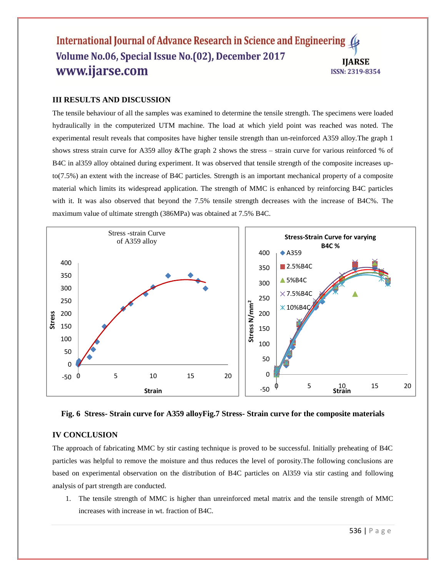#### International Journal of Advance Research in Science and Engineering ( Volume No.06, Special Issue No. (02), December 2017 **IIARSE** www.ijarse.com ISSN: 2319-8354

#### **III RESULTS AND DISCUSSION**

The tensile behaviour of all the samples was examined to determine the tensile strength. The specimens were loaded hydraulically in the computerized UTM machine. The load at which yield point was reached was noted. The experimental result reveals that composites have higher tensile strength than un-reinforced A359 alloy.The graph 1 shows stress strain curve for A359 alloy &The graph 2 shows the stress – strain curve for various reinforced % of B4C in al359 alloy obtained during experiment. It was observed that tensile strength of the composite increases upto(7.5%) an extent with the increase of B4C particles. Strength is an important mechanical property of a composite material which limits its widespread application. The strength of MMC is enhanced by reinforcing B4C particles with it. It was also observed that beyond the 7.5% tensile strength decreases with the increase of B4C%. The maximum value of ultimate strength (386MPa) was obtained at 7.5% B4C.



**Fig. 6 Stress- Strain curve for A359 alloyFig.7 Stress- Strain curve for the composite materials**

#### **IV CONCLUSION**

The approach of fabricating MMC by stir casting technique is proved to be successful. Initially preheating of B4C particles was helpful to remove the moisture and thus reduces the level of porosity.The following conclusions are based on experimental observation on the distribution of B4C particles on Al359 via stir casting and following analysis of part strength are conducted.

1. The tensile strength of MMC is higher than unreinforced metal matrix and the tensile strength of MMC increases with increase in wt. fraction of B4C.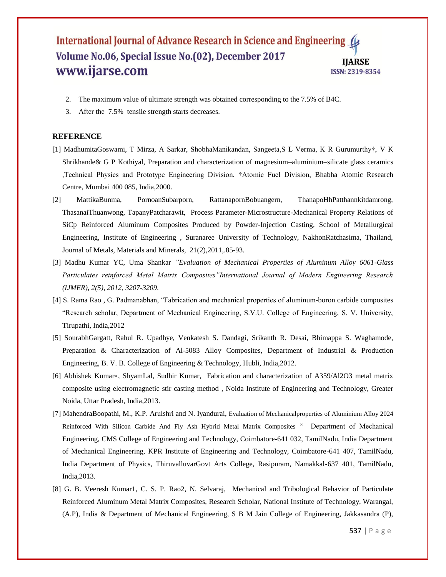#### International Journal of Advance Research in Science and Engineering ( Volume No.06, Special Issue No. (02), December 2017 **IIARSE** www.ijarse.com ISSN: 2319-8354

- 2. The maximum value of ultimate strength was obtained corresponding to the 7.5% of B4C.
- 3. After the 7.5% tensile strength starts decreases.

#### **REFERENCE**

- [1] MadhumitaGoswami, T Mirza, A Sarkar, ShobhaManikandan, Sangeeta,S L Verma, K R Gurumurthy†, V K Shrikhande& G P Kothiyal, Preparation and characterization of magnesium–aluminium–silicate glass ceramics ,Technical Physics and Prototype Engineering Division, †Atomic Fuel Division, Bhabha Atomic Research Centre, Mumbai 400 085, India,2000.
- [2] MattikaBunma, PornoanSubarporn, RattanapornBobuangern, ThanapoHhPatthannkitdamrong, ThasanaiThuanwong, TapanyPatcharawit, Process Parameter-Microstructure-Mechanical Property Relations of SiCp Reinforced Aluminum Composites Produced by Powder-Injection Casting, School of Metallurgical Engineering, Institute of Engineering , Suranaree University of Technology, NakhonRatchasima, Thailand, Journal of Metals, Materials and Minerals, 21(2),2011,.85-93.
- [3] Madhu Kumar YC, Uma Shankar *"Evaluation of Mechanical Properties of Aluminum Alloy 6061-Glass Particulates reinforced Metal Matrix Composites"International Journal of Modern Engineering Research (IJMER), 2(5), 2012, 3207-3209.*
- [4] S. Rama Rao , G. Padmanabhan, "Fabrication and mechanical properties of aluminum-boron carbide composites "Research scholar, Department of Mechanical Engineering, S.V.U. College of Engineering, S. V. University, Tirupathi, India,2012
- [5] SourabhGargatt, Rahul R. Upadhye, Venkatesh S. Dandagi, Srikanth R. Desai, Bhimappa S. Waghamode, Preparation & Characterization of Al-5083 Alloy Composites, Department of Industrial & Production Engineering, B. V. B. College of Engineering & Technology, Hubli, India,2012.
- [6] Abhishek Kumar∗, ShyamLal, Sudhir Kumar, Fabrication and characterization of A359/Al2O3 metal matrix composite using electromagnetic stir casting method , Noida Institute of Engineering and Technology, Greater Noida, Uttar Pradesh, India,2013.
- [7] MahendraBoopathi, M., K.P. Arulshri and N. Iyandurai, Evaluation of Mechanicalproperties of Aluminium Alloy 2024 Reinforced With Silicon Carbide And Fly Ash Hybrid Metal Matrix Composites " Department of Mechanical Engineering, CMS College of Engineering and Technology, Coimbatore-641 032, TamilNadu, India Department of Mechanical Engineering, KPR Institute of Engineering and Technology, Coimbatore-641 407, TamilNadu, India Department of Physics, ThiruvalluvarGovt Arts College, Rasipuram, Namakkal-637 401, TamilNadu, India,2013.
- [8] G. B. Veeresh Kumar1, C. S. P. Rao2, N. Selvaraj, Mechanical and Tribological Behavior of Particulate Reinforced Aluminum Metal Matrix Composites, Research Scholar, National Institute of Technology, Warangal, (A.P), India & Department of Mechanical Engineering, S B M Jain College of Engineering, Jakkasandra (P),